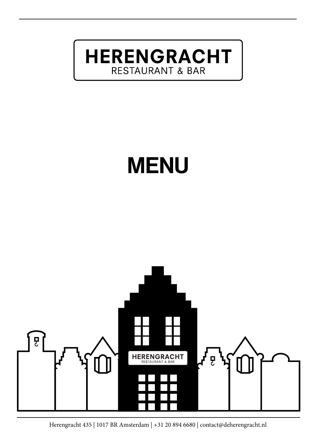**HERENGRACHT RESTAURANT & BAR** 

# MENU

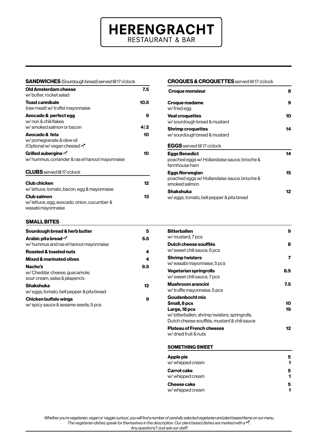# **HERENGRACHT RESTAURANT & BAR**

| <b>SANDWICHES</b> (Sourdough bread) served till 17 o'clock                            |          |
|---------------------------------------------------------------------------------------|----------|
| Old Amsterdam cheese<br>w/butter.rocket salad                                         | 7.5      |
| <b>Toast cannibale</b><br>(raw meat) w/ truffel mayonnaise                            | 10.5     |
| Avocado & perfect egg<br>w/ nori & chili flakes<br>w/ smoked salmon or bacon          | 9<br>4 2 |
| Avocado & feta<br>w/ pomegranate & olive oil<br>(Optional w/ vegan cheese) of         | 10       |
| Grilled aubergine<br>w/hummus, coriander & ras el hanout mayonnaise                   | 10       |
| <b>CLUBS</b> served till 17 o'clock                                                   |          |
| <b>Club chicken</b><br>w/lettuce, tomato, bacon, egg & mayonnaise                     | 12       |
| <b>Club salmon</b><br>w/lettuce, egg, avocado, onion, cucumber &<br>wasabi mayonnaise | 13       |
| <b>SMALL BITES</b>                                                                    |          |
| Sourdough bread & herb butter                                                         | 5        |
| <b>Arabic pita bread of</b><br>w/hummus and ras el hanout mayonnaise                  | 5.5      |
| <b>Roasted &amp; toasted nuts</b>                                                     | 4        |
| Mixed & marinated olives                                                              | 4        |

Nacho's 9.5

Shakshuka 12

Chicken buffalo wings **9** 

w/ Cheddar cheese, guacamole, sour cream, salsa & jalapeno's

w/ eggs, tomato, bell pepper & pita bread

w/ spicy sauce & sesame seeds, 5 pcs

#### CROQUES & CROQUETTES served till 17 o'clock

| <b>Croque monsieur</b>                                                                | 8  |
|---------------------------------------------------------------------------------------|----|
| Croque madame<br>w/ fried egg                                                         | 9  |
| <b>Veal croquettes</b><br>w/ sourdough bread & mustard                                | 10 |
| <b>Shrimp croquettes</b><br>w/ sourdough bread & mustard                              | 14 |
| <b>EGGS</b> served till 17 o'clock                                                    |    |
| <b>Eggs Benedict</b><br>poached eggs w/ Hollandaise sauce, brioche &<br>farmhouse ham | 14 |
| Eggs Norwegian<br>poached eggs w/ Hollandaise sauce, brioche &<br>smoked salmon       | 15 |
| <b>Shakshuka</b><br>w/eggs, tomato, bell pepper & pita bread                          | 12 |

| <b>Bitterballen</b><br>w/ mustard, 7 pcs                                                                                                          | 9        |
|---------------------------------------------------------------------------------------------------------------------------------------------------|----------|
| Dutch cheese soufflés<br>w/ sweet chili sauce, 6 pcs                                                                                              | 8        |
| <b>Shrimp twisters</b><br>w/wasabi mayonnaise, 5 pcs                                                                                              | 7        |
| Vegetarian springrolls<br>w/ sweet chili sauce, 7 pcs                                                                                             | 8.5      |
| Mushroom arancini<br>w/truffle mayonnaise, 5 pcs                                                                                                  | 7.5      |
| Goudenbocht mix<br>Small, 8 pcs<br>Large, 18 pcs<br>w/bitterballen, shrimp twisters, springrolls,<br>Dutch cheese soufflés, mustard & chili sauce | 10<br>19 |
| <b>Plateau of French cheeses</b><br>w/ dried fruit & nuts                                                                                         | 12       |

#### SOMETHING SWEET

| Apple pie        | 5 |
|------------------|---|
| w/ whipped cream | 1 |
| Carrot cake      | 5 |
| w/ whipped cream | 1 |
| Cheese cake      | 5 |
| w/ whipped cream | 1 |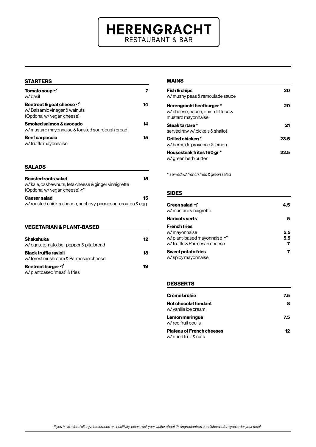# **HERENGRACHT** RESTAURANT & BAR

#### **STARTERS**

| <b>Tomato soup 4</b><br>w/basil                                                                 |    |
|-------------------------------------------------------------------------------------------------|----|
| <b>Beetroot &amp; goat cheese</b><br>w/Balsamic vinegar & walnuts<br>(Optional w/ vegan cheese) | 14 |
| Smoked salmon & avocado<br>w/ mustard mayonnaise & toasted sourdough bread                      | 14 |
| <b>Beef carpaccio</b><br>w/ truffle mayonnaise                                                  | 15 |

#### SALADS

| Roasted roots salad<br>w/kale, cashewnuts, feta cheese & ginger vinaigrette<br>(Optional w/ vegan cheese) of | 15 |
|--------------------------------------------------------------------------------------------------------------|----|
| <b>Caesar salad</b>                                                                                          | 15 |
| w/roasted chicken, bacon, anchovy, parmesan, crouton & egg                                                   |    |

| <b>VEGETARIAN &amp; PLANT-BASED</b>                                 |    |
|---------------------------------------------------------------------|----|
| <b>Shakshuka</b><br>w/eggs, tomato, bell pepper & pita bread        | 12 |
| <b>Black truffle ravioli</b><br>w/forest mushroom & Parmesan cheese | 18 |
| <b>Beetroot burger</b><br>w/plantbased 'meat' & fries               | 19 |

#### MAINS

| Fish & chips<br>w/ mushy peas & remoulade sauce                                     | 20   |
|-------------------------------------------------------------------------------------|------|
| Herengracht beefburger *<br>w/ cheese, bacon, onion lettuce &<br>mustard mayonnaise | 20   |
| Steak tartare *<br>served raw w/ pickels & shallot                                  | 21   |
| Grilled chicken*<br>w/ herbs de provence & lemon                                    | 23.5 |
| Housesteak frites 160 gr *<br>w/ green herb butter                                  | 22 5 |

\* *served w/ french fries & green salad*

#### SIDES

| <b>Green salad of</b><br>w/ mustard vinaigrette                                                    | 4.5        |
|----------------------------------------------------------------------------------------------------|------------|
| <b>Haricots verts</b>                                                                              | 5          |
| <b>French fries</b><br>w/ mayonnaise<br>w/ plant-based mayonnaise *<br>w/truffle & Parmesan cheese | 5.5<br>5.5 |
| <b>Sweet potato fries</b><br>w/ spicy mayonnaise                                                   |            |

#### DESSERTS

| Crème brûlée                                              | 7.5 |
|-----------------------------------------------------------|-----|
| <b>Hot chocolat fondant</b><br>w/ vanilla ice cream       | 8   |
| Lemon meringue<br>w/red fruit coulis                      | 7.5 |
| <b>Plateau of French cheeses</b><br>w/ dried fruit & nuts | 12  |